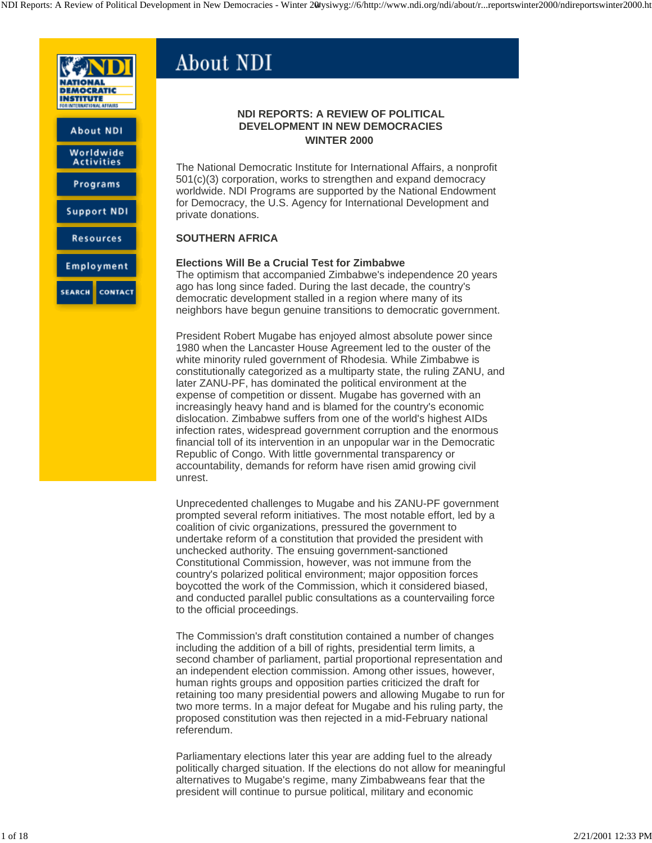# **NDI REPORTS: A REVIEW OF POLITICAL DEVELOPMENT IN NEW DEMOCRACIES WINTER 2000**

The National Democratic Institute for International Affairs, a nonprofit 501(c)(3) corporation, works to strengthen and expand democracy worldwide. NDI Programs are supported by the National Endowment for Democracy, the U.S. Agency for International Development and private donations.

# **SOUTHERN AFRICA**

### **Elections Will Be a Crucial Test for Zimbabwe**

The optimism that accompanied Zimbabwe's independence 20 years ago has long since faded. During the last decade, the country's democratic development stalled in a region where many of its neighbors have begun genuine transitions to democratic government.

President Robert Mugabe has enjoyed almost absolute power since 1980 when the Lancaster House Agreement led to the ouster of the white minority ruled government of Rhodesia. While Zimbabwe is constitutionally categorized as a multiparty state, the ruling ZANU, and later ZANU-PF, has dominated the political environment at the expense of competition or dissent. Mugabe has governed with an increasingly heavy hand and is blamed for the country's economic dislocation. Zimbabwe suffers from one of the world's highest AIDs infection rates, widespread government corruption and the enormous financial toll of its intervention in an unpopular war in the Democratic Republic of Congo. With little governmental transparency or accountability, demands for reform have risen amid growing civil unrest.

Unprecedented challenges to Mugabe and his ZANU-PF government prompted several reform initiatives. The most notable effort, led by a coalition of civic organizations, pressured the government to undertake reform of a constitution that provided the president with unchecked authority. The ensuing government-sanctioned Constitutional Commission, however, was not immune from the country's polarized political environment; major opposition forces boycotted the work of the Commission, which it considered biased, and conducted parallel public consultations as a countervailing force to the official proceedings.

The Commission's draft constitution contained a number of changes including the addition of a bill of rights, presidential term limits, a second chamber of parliament, partial proportional representation and an independent election commission. Among other issues, however, human rights groups and opposition parties criticized the draft for retaining too many presidential powers and allowing Mugabe to run for two more terms. In a major defeat for Mugabe and his ruling party, the proposed constitution was then rejected in a mid-February national referendum.

Parliamentary elections later this year are adding fuel to the already politically charged situation. If the elections do not allow for meaningful alternatives to Mugabe's regime, many Zimbabweans fear that the president will continue to pursue political, military and economic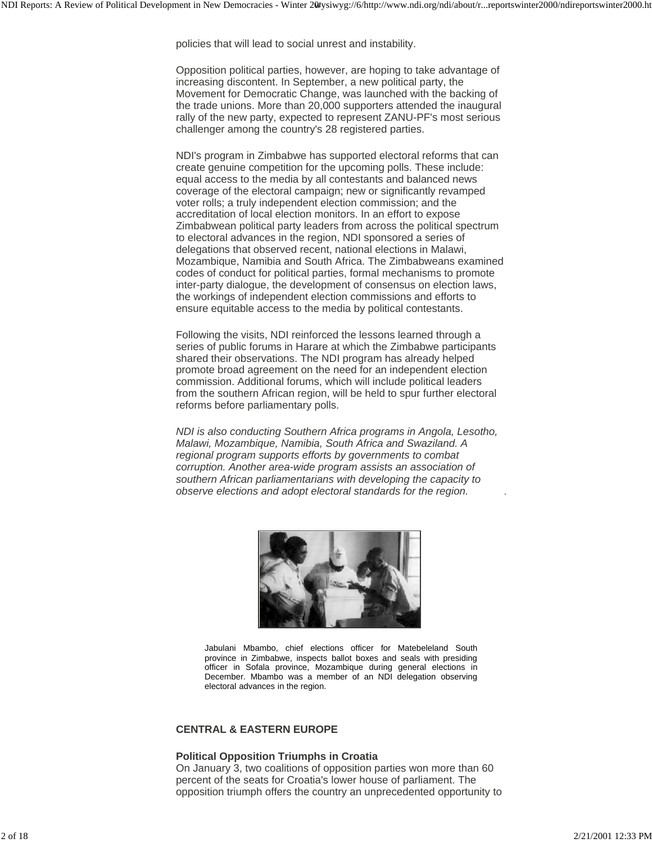increasing discontent. In September, a new political party, the Movement for Democratic Change, was launched with the backing of the trade unions. More than 20,000 supporters attended the inaugural rally of the new party, expected to represent ZANU-PF's most serious challenger among the country's 28 registered parties.

NDI's program in Zimbabwe has supported electoral reforms that can create genuine competition for the upcoming polls. These include: equal access to the media by all contestants and balanced news coverage of the electoral campaign; new or significantly revamped voter rolls; a truly independent election commission; and the accreditation of local election monitors. In an effort to expose Zimbabwean political party leaders from across the political spectrum to electoral advances in the region, NDI sponsored a series of delegations that observed recent, national elections in Malawi, Mozambique, Namibia and South Africa. The Zimbabweans examined codes of conduct for political parties, formal mechanisms to promote inter-party dialogue, the development of consensus on election laws, the workings of independent election commissions and efforts to ensure equitable access to the media by political contestants.

Following the visits, NDI reinforced the lessons learned through a series of public forums in Harare at which the Zimbabwe participants shared their observations. The NDI program has already helped promote broad agreement on the need for an independent election commission. Additional forums, which will include political leaders from the southern African region, will be held to spur further electoral reforms before parliamentary polls.

*NDI is also conducting Southern Africa programs in Angola, Lesotho, Malawi, Mozambique, Namibia, South Africa and Swaziland. A regional program supports efforts by governments to combat corruption. Another area-wide program assists an association of southern African parliamentarians with developing the capacity to observe elections and adopt electoral standards for the region.* .



Jabulani Mbambo, chief elections officer for Matebeleland South province in Zimbabwe, inspects ballot boxes and seals with presiding officer in Sofala province, Mozambique during general elections in December. Mbambo was a member of an NDI delegation observing electoral advances in the region.

### **CENTRAL & EASTERN EUROPE**

#### **Political Opposition Triumphs in Croatia**

On January 3, two coalitions of opposition parties won more than 60 percent of the seats for Croatia's lower house of parliament. The opposition triumph offers the country an unprecedented opportunity to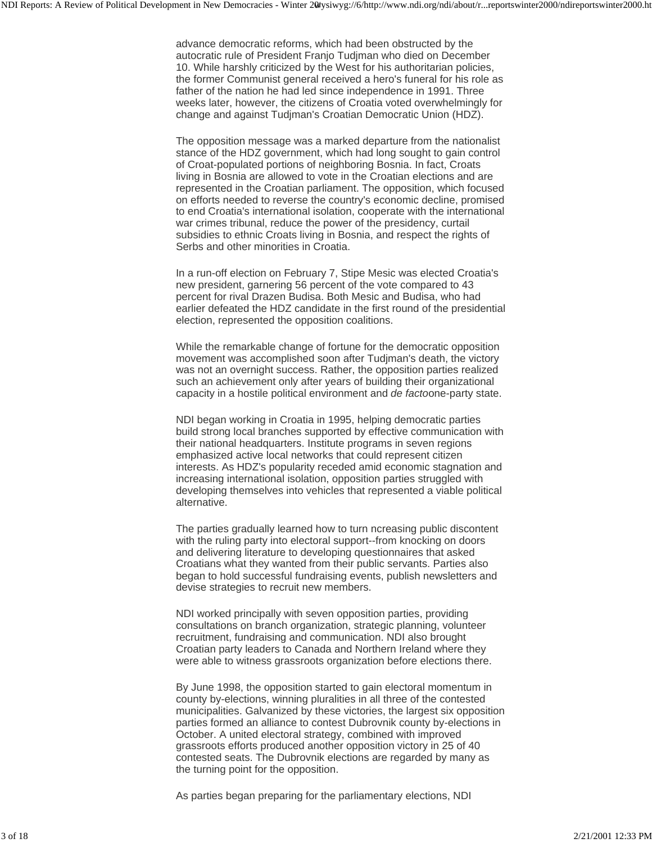the former Communist general received a hero's funeral for his role as father of the nation he had led since independence in 1991. Three weeks later, however, the citizens of Croatia voted overwhelmingly for change and against Tudjman's Croatian Democratic Union (HDZ).

The opposition message was a marked departure from the nationalist stance of the HDZ government, which had long sought to gain control of Croat-populated portions of neighboring Bosnia. In fact, Croats living in Bosnia are allowed to vote in the Croatian elections and are represented in the Croatian parliament. The opposition, which focused on efforts needed to reverse the country's economic decline, promised to end Croatia's international isolation, cooperate with the international war crimes tribunal, reduce the power of the presidency, curtail subsidies to ethnic Croats living in Bosnia, and respect the rights of Serbs and other minorities in Croatia.

In a run-off election on February 7, Stipe Mesic was elected Croatia's new president, garnering 56 percent of the vote compared to 43 percent for rival Drazen Budisa. Both Mesic and Budisa, who had earlier defeated the HDZ candidate in the first round of the presidential election, represented the opposition coalitions.

While the remarkable change of fortune for the democratic opposition movement was accomplished soon after Tudjman's death, the victory was not an overnight success. Rather, the opposition parties realized such an achievement only after years of building their organizational capacity in a hostile political environment and *de facto*one-party state.

NDI began working in Croatia in 1995, helping democratic parties build strong local branches supported by effective communication with their national headquarters. Institute programs in seven regions emphasized active local networks that could represent citizen interests. As HDZ's popularity receded amid economic stagnation and increasing international isolation, opposition parties struggled with developing themselves into vehicles that represented a viable political alternative.

The parties gradually learned how to turn ncreasing public discontent with the ruling party into electoral support--from knocking on doors and delivering literature to developing questionnaires that asked Croatians what they wanted from their public servants. Parties also began to hold successful fundraising events, publish newsletters and devise strategies to recruit new members.

NDI worked principally with seven opposition parties, providing consultations on branch organization, strategic planning, volunteer recruitment, fundraising and communication. NDI also brought Croatian party leaders to Canada and Northern Ireland where they were able to witness grassroots organization before elections there.

By June 1998, the opposition started to gain electoral momentum in county by-elections, winning pluralities in all three of the contested municipalities. Galvanized by these victories, the largest six opposition parties formed an alliance to contest Dubrovnik county by-elections in October. A united electoral strategy, combined with improved grassroots efforts produced another opposition victory in 25 of 40 contested seats. The Dubrovnik elections are regarded by many as the turning point for the opposition.

As parties began preparing for the parliamentary elections, NDI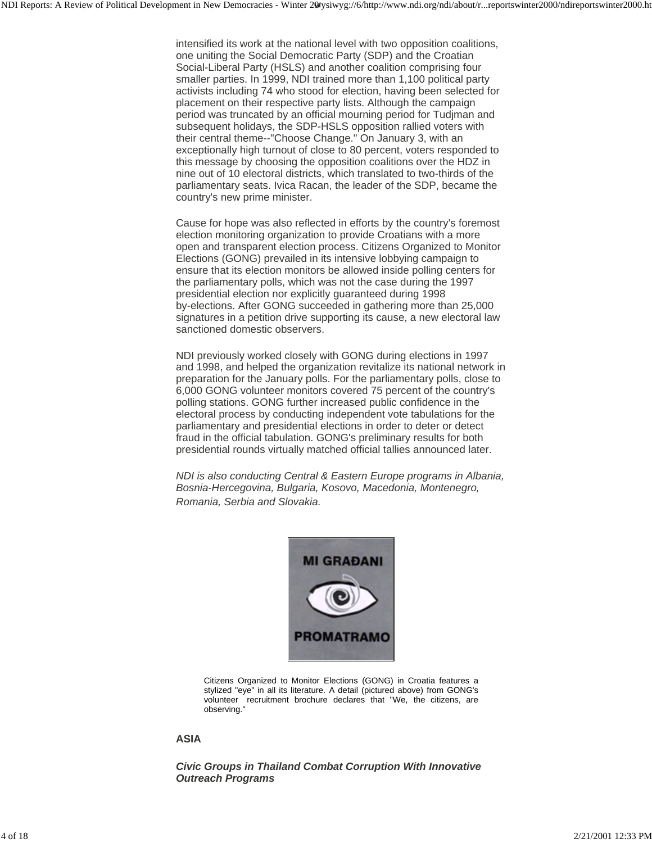smaller parties. In 1999, NDI trained more than 1,100 political party activists including 74 who stood for election, having been selected for placement on their respective party lists. Although the campaign period was truncated by an official mourning period for Tudjman and subsequent holidays, the SDP-HSLS opposition rallied voters with their central theme--"Choose Change." On January 3, with an exceptionally high turnout of close to 80 percent, voters responded to this message by choosing the opposition coalitions over the HDZ in nine out of 10 electoral districts, which translated to two-thirds of the parliamentary seats. Ivica Racan, the leader of the SDP, became the country's new prime minister.

Cause for hope was also reflected in efforts by the country's foremost election monitoring organization to provide Croatians with a more open and transparent election process. Citizens Organized to Monitor Elections (GONG) prevailed in its intensive lobbying campaign to ensure that its election monitors be allowed inside polling centers for the parliamentary polls, which was not the case during the 1997 presidential election nor explicitly guaranteed during 1998 by-elections. After GONG succeeded in gathering more than 25,000 signatures in a petition drive supporting its cause, a new electoral law sanctioned domestic observers.

NDI previously worked closely with GONG during elections in 1997 and 1998, and helped the organization revitalize its national network in preparation for the January polls. For the parliamentary polls, close to 6,000 GONG volunteer monitors covered 75 percent of the country's polling stations. GONG further increased public confidence in the electoral process by conducting independent vote tabulations for the parliamentary and presidential elections in order to deter or detect fraud in the official tabulation. GONG's preliminary results for both presidential rounds virtually matched official tallies announced later.

*NDI is also conducting Central & Eastern Europe programs in Albania, Bosnia-Hercegovina, Bulgaria, Kosovo, Macedonia, Montenegro, Romania, Serbia and Slovakia.*



Citizens Organized to Monitor Elections (GONG) in Croatia features a stylized "eye" in all its literature. A detail (pictured above) from GONG's volunteer recruitment brochure declares that "We, the citizens, are observing."

# **ASIA**

*Civic Groups in Thailand Combat Corruption With Innovative Outreach Programs*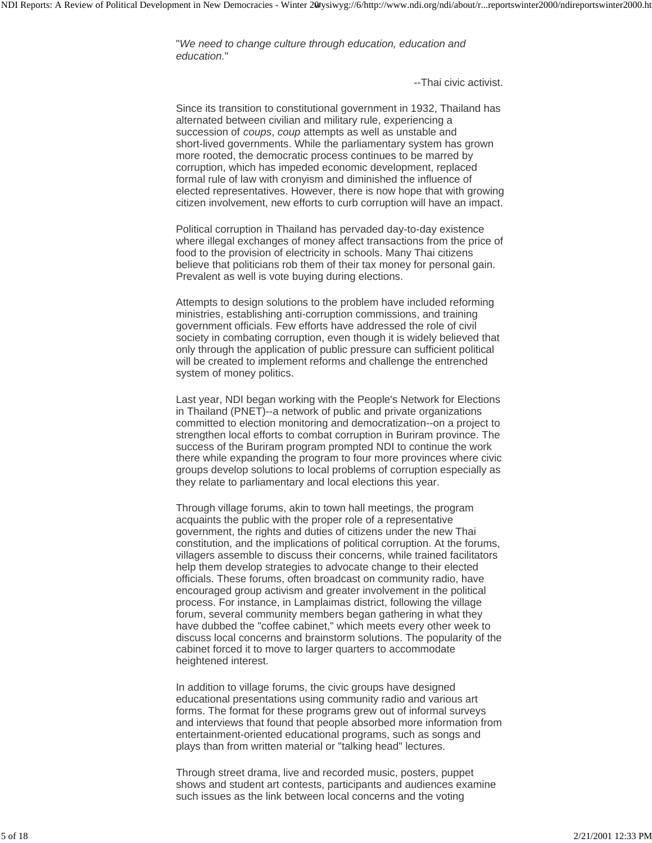--Thai civic activist.

Since its transition to constitutional government in 1932, Thailand has alternated between civilian and military rule, experiencing a succession of *coups*, *coup* attempts as well as unstable and short-lived governments. While the parliamentary system has grown more rooted, the democratic process continues to be marred by corruption, which has impeded economic development, replaced formal rule of law with cronyism and diminished the influence of elected representatives. However, there is now hope that with growing citizen involvement, new efforts to curb corruption will have an impact.

Political corruption in Thailand has pervaded day-to-day existence where illegal exchanges of money affect transactions from the price of food to the provision of electricity in schools. Many Thai citizens believe that politicians rob them of their tax money for personal gain. Prevalent as well is vote buying during elections.

Attempts to design solutions to the problem have included reforming ministries, establishing anti-corruption commissions, and training government officials. Few efforts have addressed the role of civil society in combating corruption, even though it is widely believed that only through the application of public pressure can sufficient political will be created to implement reforms and challenge the entrenched system of money politics.

Last year, NDI began working with the People's Network for Elections in Thailand (PNET)--a network of public and private organizations committed to election monitoring and democratization--on a project to strengthen local efforts to combat corruption in Buriram province. The success of the Buriram program prompted NDI to continue the work there while expanding the program to four more provinces where civic groups develop solutions to local problems of corruption especially as they relate to parliamentary and local elections this year.

Through village forums, akin to town hall meetings, the program acquaints the public with the proper role of a representative government, the rights and duties of citizens under the new Thai constitution, and the implications of political corruption. At the forums, villagers assemble to discuss their concerns, while trained facilitators help them develop strategies to advocate change to their elected officials. These forums, often broadcast on community radio, have encouraged group activism and greater involvement in the political process. For instance, in Lamplaimas district, following the village forum, several community members began gathering in what they have dubbed the "coffee cabinet," which meets every other week to discuss local concerns and brainstorm solutions. The popularity of the cabinet forced it to move to larger quarters to accommodate heightened interest.

In addition to village forums, the civic groups have designed educational presentations using community radio and various art forms. The format for these programs grew out of informal surveys and interviews that found that people absorbed more information from entertainment-oriented educational programs, such as songs and plays than from written material or "talking head" lectures.

Through street drama, live and recorded music, posters, puppet shows and student art contests, participants and audiences examine such issues as the link between local concerns and the voting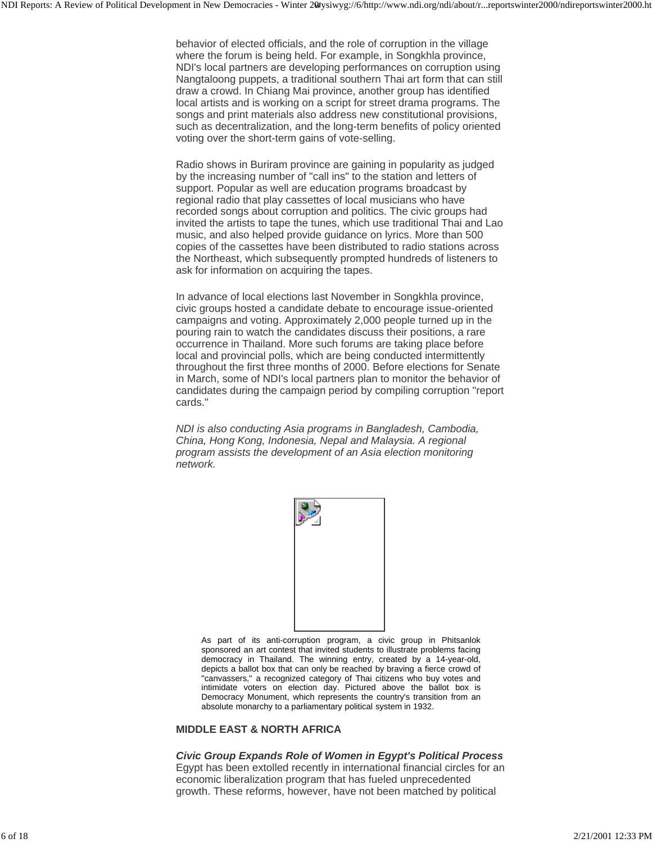Nangtaloong puppets, a traditional southern Thai art form that can still draw a crowd. In Chiang Mai province, another group has identified local artists and is working on a script for street drama programs. The songs and print materials also address new constitutional provisions, such as decentralization, and the long-term benefits of policy oriented voting over the short-term gains of vote-selling.

Radio shows in Buriram province are gaining in popularity as judged by the increasing number of "call ins" to the station and letters of support. Popular as well are education programs broadcast by regional radio that play cassettes of local musicians who have recorded songs about corruption and politics. The civic groups had invited the artists to tape the tunes, which use traditional Thai and Lao music, and also helped provide guidance on lyrics. More than 500 copies of the cassettes have been distributed to radio stations across the Northeast, which subsequently prompted hundreds of listeners to ask for information on acquiring the tapes.

In advance of local elections last November in Songkhla province, civic groups hosted a candidate debate to encourage issue-oriented campaigns and voting. Approximately 2,000 people turned up in the pouring rain to watch the candidates discuss their positions, a rare occurrence in Thailand. More such forums are taking place before local and provincial polls, which are being conducted intermittently throughout the first three months of 2000. Before elections for Senate in March, some of NDI's local partners plan to monitor the behavior of candidates during the campaign period by compiling corruption "report cards."

*NDI is also conducting Asia programs in Bangladesh, Cambodia, China, Hong Kong, Indonesia, Nepal and Malaysia. A regional program assists the development of an Asia election monitoring network.*



As part of its anti-corruption program, a civic group in Phitsanlok sponsored an art contest that invited students to illustrate problems facing democracy in Thailand. The winning entry, created by a 14-year-old, depicts a ballot box that can only be reached by braving a fierce crowd of "canvassers," a recognized category of Thai citizens who buy votes and intimidate voters on election day. Pictured above the ballot box is Democracy Monument, which represents the country's transition from an absolute monarchy to a parliamentary political system in 1932.

### **MIDDLE EAST & NORTH AFRICA**

*Civic Group Expands Role of Women in Egypt's Political Process* Egypt has been extolled recently in international financial circles for an economic liberalization program that has fueled unprecedented growth. These reforms, however, have not been matched by political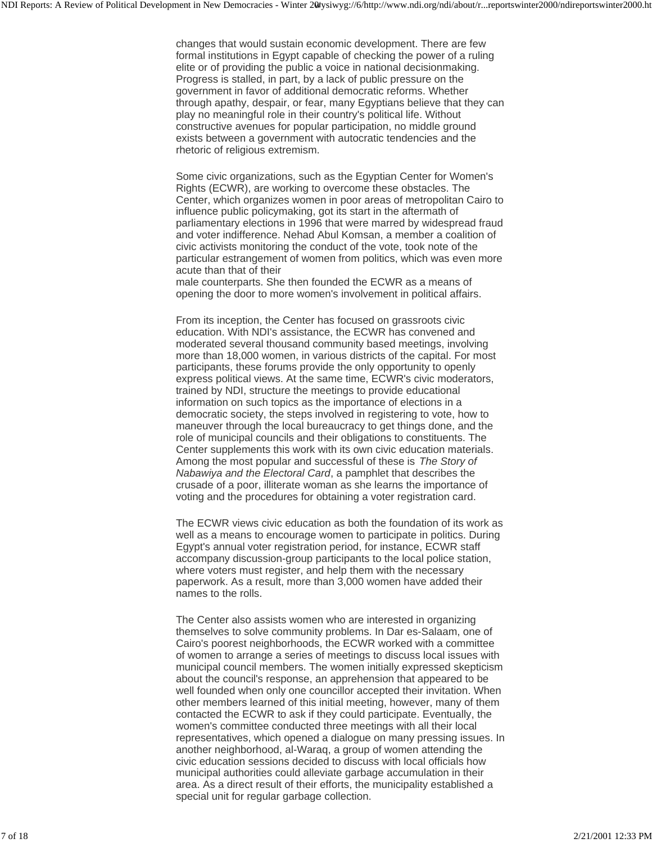Progress is stalled, in part, by a lack of public pressure on the government in favor of additional democratic reforms. Whether through apathy, despair, or fear, many Egyptians believe that they can play no meaningful role in their country's political life. Without constructive avenues for popular participation, no middle ground exists between a government with autocratic tendencies and the rhetoric of religious extremism.

Some civic organizations, such as the Egyptian Center for Women's Rights (ECWR), are working to overcome these obstacles. The Center, which organizes women in poor areas of metropolitan Cairo to influence public policymaking, got its start in the aftermath of parliamentary elections in 1996 that were marred by widespread fraud and voter indifference. Nehad Abul Komsan, a member a coalition of civic activists monitoring the conduct of the vote, took note of the particular estrangement of women from politics, which was even more acute than that of their

male counterparts. She then founded the ECWR as a means of opening the door to more women's involvement in political affairs.

From its inception, the Center has focused on grassroots civic education. With NDI's assistance, the ECWR has convened and moderated several thousand community based meetings, involving more than 18,000 women, in various districts of the capital. For most participants, these forums provide the only opportunity to openly express political views. At the same time, ECWR's civic moderators, trained by NDI, structure the meetings to provide educational information on such topics as the importance of elections in a democratic society, the steps involved in registering to vote, how to maneuver through the local bureaucracy to get things done, and the role of municipal councils and their obligations to constituents. The Center supplements this work with its own civic education materials. Among the most popular and successful of these is *The Story of Nabawiya and the Electoral Card*, a pamphlet that describes the crusade of a poor, illiterate woman as she learns the importance of voting and the procedures for obtaining a voter registration card.

The ECWR views civic education as both the foundation of its work as well as a means to encourage women to participate in politics. During Egypt's annual voter registration period, for instance, ECWR staff accompany discussion-group participants to the local police station, where voters must register, and help them with the necessary paperwork. As a result, more than 3,000 women have added their names to the rolls.

The Center also assists women who are interested in organizing themselves to solve community problems. In Dar es-Salaam, one of Cairo's poorest neighborhoods, the ECWR worked with a committee of women to arrange a series of meetings to discuss local issues with municipal council members. The women initially expressed skepticism about the council's response, an apprehension that appeared to be well founded when only one councillor accepted their invitation. When other members learned of this initial meeting, however, many of them contacted the ECWR to ask if they could participate. Eventually, the women's committee conducted three meetings with all their local representatives, which opened a dialogue on many pressing issues. In another neighborhood, al-Waraq, a group of women attending the civic education sessions decided to discuss with local officials how municipal authorities could alleviate garbage accumulation in their area. As a direct result of their efforts, the municipality established a special unit for regular garbage collection.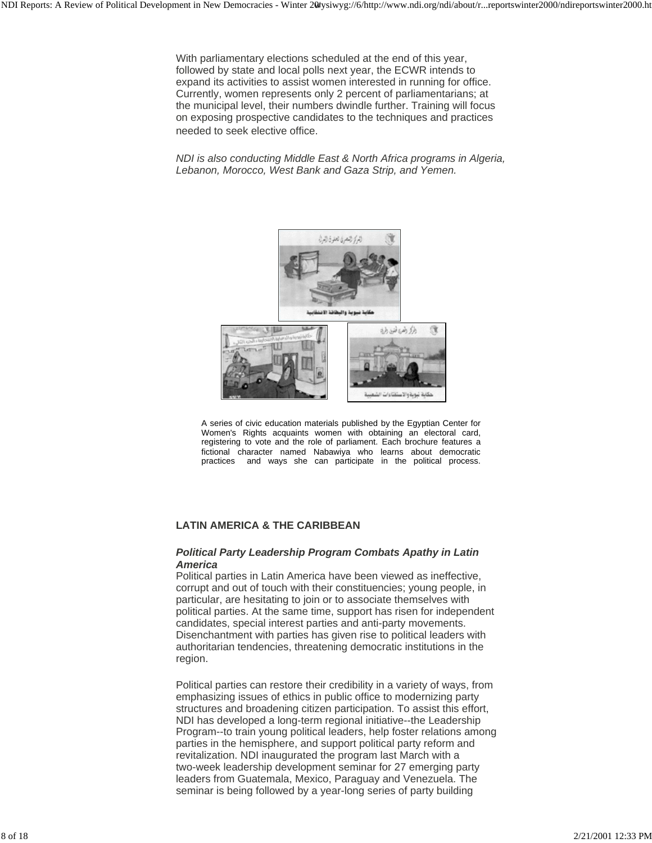expand its activities to assist women interested in running for office. Currently, women represents only 2 percent of parliamentarians; at the municipal level, their numbers dwindle further. Training will focus on exposing prospective candidates to the techniques and practices needed to seek elective office.

*NDI is also conducting Middle East & North Africa programs in Algeria, Lebanon, Morocco, West Bank and Gaza Strip, and Yemen.*



A series of civic education materials published by the Egyptian Center for Women's Rights acquaints women with obtaining an electoral card, registering to vote and the role of parliament. Each brochure features a fictional character named Nabawiya who learns about democratic practices and ways she can participate in the political process.

# **LATIN AMERICA & THE CARIBBEAN**

# *Political Party Leadership Program Combats Apathy in Latin America*

Political parties in Latin America have been viewed as ineffective, corrupt and out of touch with their constituencies; young people, in particular, are hesitating to join or to associate themselves with political parties. At the same time, support has risen for independent candidates, special interest parties and anti-party movements. Disenchantment with parties has given rise to political leaders with authoritarian tendencies, threatening democratic institutions in the region.

Political parties can restore their credibility in a variety of ways, from emphasizing issues of ethics in public office to modernizing party structures and broadening citizen participation. To assist this effort, NDI has developed a long-term regional initiative--the Leadership Program--to train young political leaders, help foster relations among parties in the hemisphere, and support political party reform and revitalization. NDI inaugurated the program last March with a two-week leadership development seminar for 27 emerging party leaders from Guatemala, Mexico, Paraguay and Venezuela. The seminar is being followed by a year-long series of party building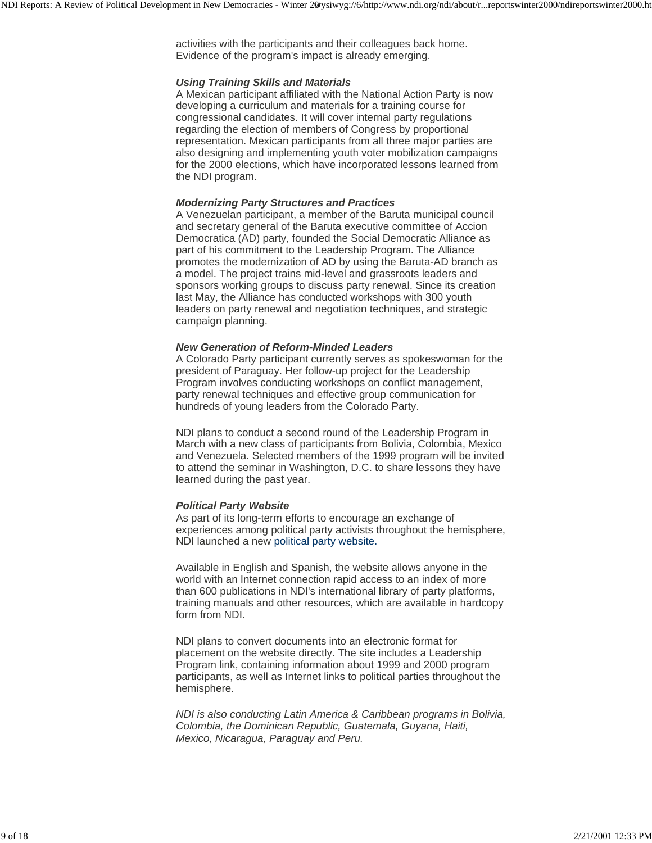#### *Using Training Skills and Materials*

A Mexican participant affiliated with the National Action Party is now developing a curriculum and materials for a training course for congressional candidates. It will cover internal party regulations regarding the election of members of Congress by proportional representation. Mexican participants from all three major parties are also designing and implementing youth voter mobilization campaigns for the 2000 elections, which have incorporated lessons learned from the NDI program.

#### *Modernizing Party Structures and Practices*

A Venezuelan participant, a member of the Baruta municipal council and secretary general of the Baruta executive committee of Accion Democratica (AD) party, founded the Social Democratic Alliance as part of his commitment to the Leadership Program. The Alliance promotes the modernization of AD by using the Baruta-AD branch as a model. The project trains mid-level and grassroots leaders and sponsors working groups to discuss party renewal. Since its creation last May, the Alliance has conducted workshops with 300 youth leaders on party renewal and negotiation techniques, and strategic campaign planning.

#### *New Generation of Reform-Minded Leaders*

A Colorado Party participant currently serves as spokeswoman for the president of Paraguay. Her follow-up project for the Leadership Program involves conducting workshops on conflict management, party renewal techniques and effective group communication for hundreds of young leaders from the Colorado Party.

NDI plans to conduct a second round of the Leadership Program in March with a new class of participants from Bolivia, Colombia, Mexico and Venezuela. Selected members of the 1999 program will be invited to attend the seminar in Washington, D.C. to share lessons they have learned during the past year.

### *Political Party Website*

As part of its long-term efforts to encourage an exchange of experiences among political party activists throughout the hemisphere, NDI launched a new political party website.

Available in English and Spanish, the website allows anyone in the world with an Internet connection rapid access to an index of more than 600 publications in NDI's international library of party platforms, training manuals and other resources, which are available in hardcopy form from NDI.

NDI plans to convert documents into an electronic format for placement on the website directly. The site includes a Leadership Program link, containing information about 1999 and 2000 program participants, as well as Internet links to political parties throughout the hemisphere.

*NDI is also conducting Latin America & Caribbean programs in Bolivia, Colombia, the Dominican Republic, Guatemala, Guyana, Haiti, Mexico, Nicaragua, Paraguay and Peru.*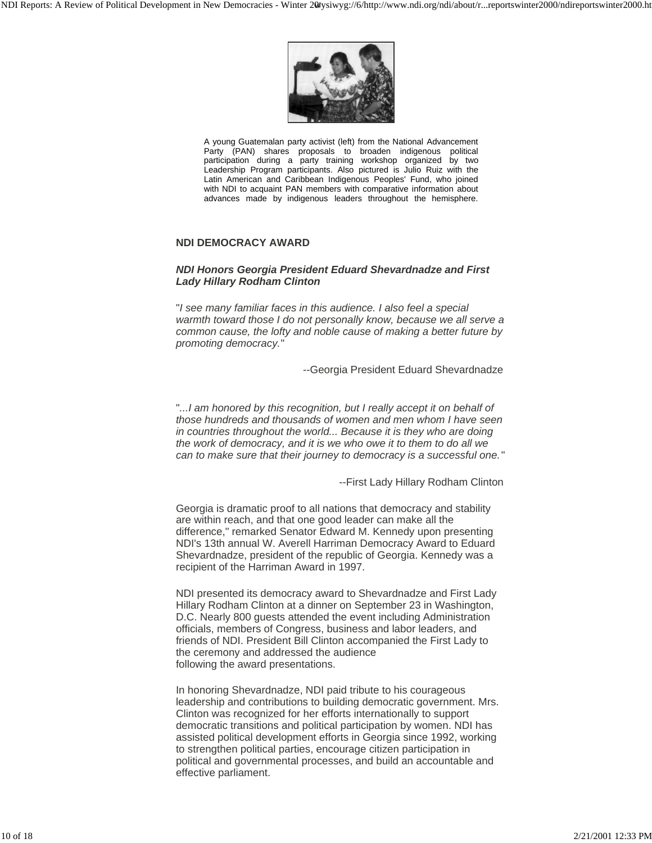

A young Guatemalan party activist (left) from the National Advancement Party (PAN) shares proposals to broaden indigenous political participation during a party training workshop organized by two Leadership Program participants. Also pictured is Julio Ruiz with the Latin American and Caribbean Indigenous Peoples' Fund, who joined with NDI to acquaint PAN members with comparative information about advances made by indigenous leaders throughout the hemisphere.

#### **NDI DEMOCRACY AWARD**

#### *NDI Honors Georgia President Eduard Shevardnadze and First Lady Hillary Rodham Clinton*

"*I see many familiar faces in this audience. I also feel a special warmth toward those I do not personally know, because we all serve a common cause, the lofty and noble cause of making a better future by promoting democracy.*"

--Georgia President Eduard Shevardnadze

"*...I am honored by this recognition, but I really accept it on behalf of those hundreds and thousands of women and men whom I have seen in countries throughout the world... Because it is they who are doing the work of democracy, and it is we who owe it to them to do all we can to make sure that their journey to democracy is a successful one.*"

--First Lady Hillary Rodham Clinton

Georgia is dramatic proof to all nations that democracy and stability are within reach, and that one good leader can make all the difference," remarked Senator Edward M. Kennedy upon presenting NDI's 13th annual W. Averell Harriman Democracy Award to Eduard Shevardnadze, president of the republic of Georgia. Kennedy was a recipient of the Harriman Award in 1997.

NDI presented its democracy award to Shevardnadze and First Lady Hillary Rodham Clinton at a dinner on September 23 in Washington, D.C. Nearly 800 guests attended the event including Administration officials, members of Congress, business and labor leaders, and friends of NDI. President Bill Clinton accompanied the First Lady to the ceremony and addressed the audience following the award presentations.

In honoring Shevardnadze, NDI paid tribute to his courageous leadership and contributions to building democratic government. Mrs. Clinton was recognized for her efforts internationally to support democratic transitions and political participation by women. NDI has assisted political development efforts in Georgia since 1992, working to strengthen political parties, encourage citizen participation in political and governmental processes, and build an accountable and effective parliament.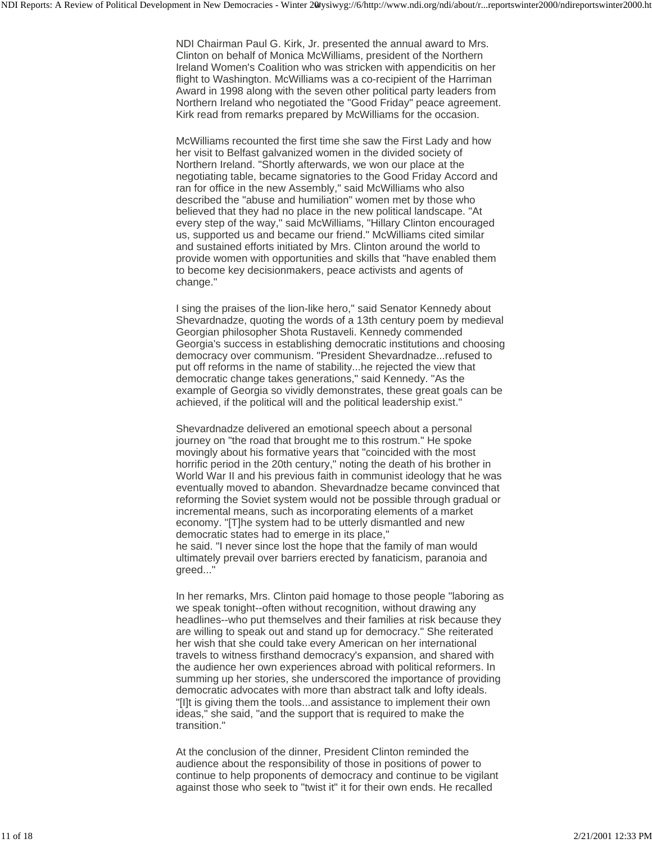flight to Washington. McWilliams was a co-recipient of the Harriman Award in 1998 along with the seven other political party leaders from Northern Ireland who negotiated the "Good Friday" peace agreement. Kirk read from remarks prepared by McWilliams for the occasion.

McWilliams recounted the first time she saw the First Lady and how her visit to Belfast galvanized women in the divided society of Northern Ireland. "Shortly afterwards, we won our place at the negotiating table, became signatories to the Good Friday Accord and ran for office in the new Assembly," said McWilliams who also described the "abuse and humiliation" women met by those who believed that they had no place in the new political landscape. "At every step of the way," said McWilliams, "Hillary Clinton encouraged us, supported us and became our friend." McWilliams cited similar and sustained efforts initiated by Mrs. Clinton around the world to provide women with opportunities and skills that "have enabled them to become key decisionmakers, peace activists and agents of change."

I sing the praises of the lion-like hero," said Senator Kennedy about Shevardnadze, quoting the words of a 13th century poem by medieval Georgian philosopher Shota Rustaveli. Kennedy commended Georgia's success in establishing democratic institutions and choosing democracy over communism. "President Shevardnadze...refused to put off reforms in the name of stability...he rejected the view that democratic change takes generations," said Kennedy. "As the example of Georgia so vividly demonstrates, these great goals can be achieved, if the political will and the political leadership exist."

Shevardnadze delivered an emotional speech about a personal journey on "the road that brought me to this rostrum." He spoke movingly about his formative years that "coincided with the most horrific period in the 20th century," noting the death of his brother in World War II and his previous faith in communist ideology that he was eventually moved to abandon. Shevardnadze became convinced that reforming the Soviet system would not be possible through gradual or incremental means, such as incorporating elements of a market economy. "[T]he system had to be utterly dismantled and new democratic states had to emerge in its place," he said. "I never since lost the hope that the family of man would

ultimately prevail over barriers erected by fanaticism, paranoia and greed..."

In her remarks, Mrs. Clinton paid homage to those people "laboring as we speak tonight--often without recognition, without drawing any headlines--who put themselves and their families at risk because they are willing to speak out and stand up for democracy." She reiterated her wish that she could take every American on her international travels to witness firsthand democracy's expansion, and shared with the audience her own experiences abroad with political reformers. In summing up her stories, she underscored the importance of providing democratic advocates with more than abstract talk and lofty ideals. "[I]t is giving them the tools...and assistance to implement their own ideas," she said, "and the support that is required to make the transition."

At the conclusion of the dinner, President Clinton reminded the audience about the responsibility of those in positions of power to continue to help proponents of democracy and continue to be vigilant against those who seek to "twist it" it for their own ends. He recalled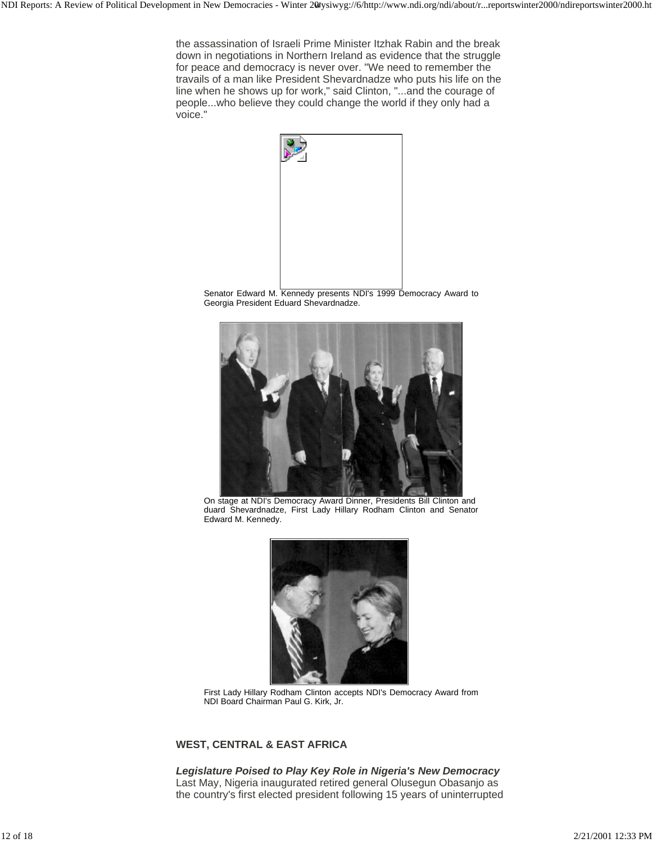travails of a man like President Shevardnadze who puts his life on the line when he shows up for work," said Clinton, "...and the courage of people...who believe they could change the world if they only had a voice."



Senator Edward M. Kennedy presents NDI's 1999 Democracy Award to Georgia President Eduard Shevardnadze.



On stage at NDI's Democracy Award Dinner, Presidents Bill Clinton and duard Shevardnadze, First Lady Hillary Rodham Clinton and Senator Edward M. Kennedy.



First Lady Hillary Rodham Clinton accepts NDI's Democracy Award from NDI Board Chairman Paul G. Kirk, Jr.

# **WEST, CENTRAL & EAST AFRICA**

*Legislature Poised to Play Key Role in Nigeria's New Democracy* Last May, Nigeria inaugurated retired general Olusegun Obasanjo as the country's first elected president following 15 years of uninterrupted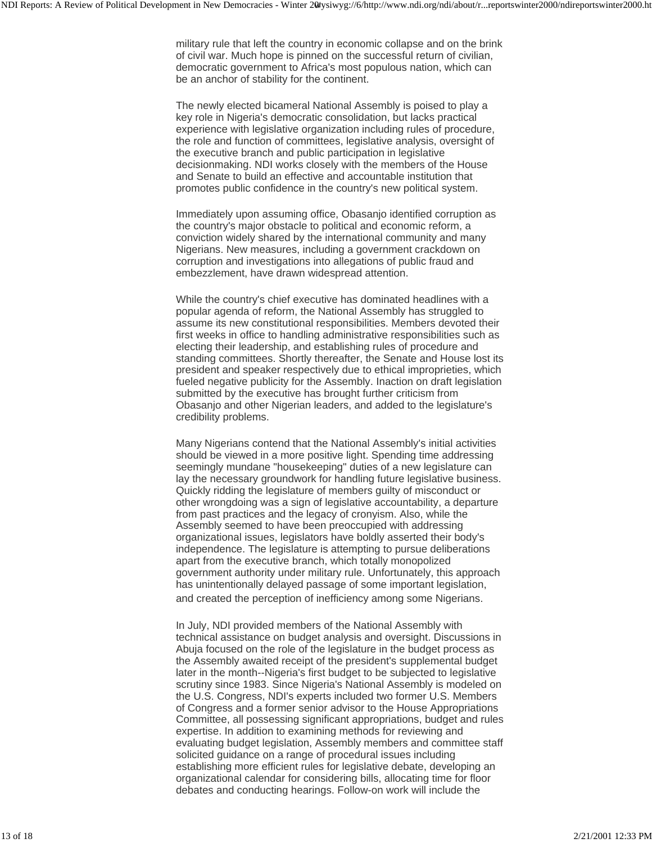be an anchor of stability for the continent.

The newly elected bicameral National Assembly is poised to play a key role in Nigeria's democratic consolidation, but lacks practical experience with legislative organization including rules of procedure, the role and function of committees, legislative analysis, oversight of the executive branch and public participation in legislative decisionmaking. NDI works closely with the members of the House and Senate to build an effective and accountable institution that promotes public confidence in the country's new political system.

Immediately upon assuming office, Obasanjo identified corruption as the country's major obstacle to political and economic reform, a conviction widely shared by the international community and many Nigerians. New measures, including a government crackdown on corruption and investigations into allegations of public fraud and embezzlement, have drawn widespread attention.

While the country's chief executive has dominated headlines with a popular agenda of reform, the National Assembly has struggled to assume its new constitutional responsibilities. Members devoted their first weeks in office to handling administrative responsibilities such as electing their leadership, and establishing rules of procedure and standing committees. Shortly thereafter, the Senate and House lost its president and speaker respectively due to ethical improprieties, which fueled negative publicity for the Assembly. Inaction on draft legislation submitted by the executive has brought further criticism from Obasanjo and other Nigerian leaders, and added to the legislature's credibility problems.

Many Nigerians contend that the National Assembly's initial activities should be viewed in a more positive light. Spending time addressing seemingly mundane "housekeeping" duties of a new legislature can lay the necessary groundwork for handling future legislative business. Quickly ridding the legislature of members guilty of misconduct or other wrongdoing was a sign of legislative accountability, a departure from past practices and the legacy of cronyism. Also, while the Assembly seemed to have been preoccupied with addressing organizational issues, legislators have boldly asserted their body's independence. The legislature is attempting to pursue deliberations apart from the executive branch, which totally monopolized government authority under military rule. Unfortunately, this approach has unintentionally delayed passage of some important legislation, and created the perception of inefficiency among some Nigerians.

In July, NDI provided members of the National Assembly with technical assistance on budget analysis and oversight. Discussions in Abuja focused on the role of the legislature in the budget process as the Assembly awaited receipt of the president's supplemental budget later in the month--Nigeria's first budget to be subjected to legislative scrutiny since 1983. Since Nigeria's National Assembly is modeled on the U.S. Congress, NDI's experts included two former U.S. Members of Congress and a former senior advisor to the House Appropriations Committee, all possessing significant appropriations, budget and rules expertise. In addition to examining methods for reviewing and evaluating budget legislation, Assembly members and committee staff solicited guidance on a range of procedural issues including establishing more efficient rules for legislative debate, developing an organizational calendar for considering bills, allocating time for floor debates and conducting hearings. Follow-on work will include the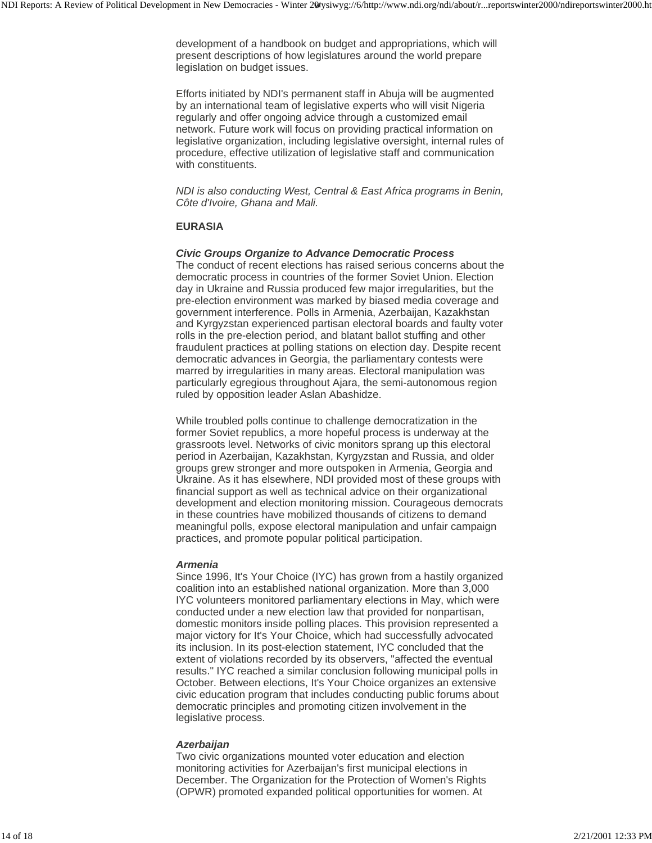Efforts initiated by NDI's permanent staff in Abuja will be augmented by an international team of legislative experts who will visit Nigeria regularly and offer ongoing advice through a customized email network. Future work will focus on providing practical information on legislative organization, including legislative oversight, internal rules of procedure, effective utilization of legislative staff and communication with constituents.

*NDI is also conducting West, Central & East Africa programs in Benin, Côte d'Ivoire, Ghana and Mali.*

# **EURASIA**

# *Civic Groups Organize to Advance Democratic Process*

The conduct of recent elections has raised serious concerns about the democratic process in countries of the former Soviet Union. Election day in Ukraine and Russia produced few major irregularities, but the pre-election environment was marked by biased media coverage and government interference. Polls in Armenia, Azerbaijan, Kazakhstan and Kyrgyzstan experienced partisan electoral boards and faulty voter rolls in the pre-election period, and blatant ballot stuffing and other fraudulent practices at polling stations on election day. Despite recent democratic advances in Georgia, the parliamentary contests were marred by irregularities in many areas. Electoral manipulation was particularly egregious throughout Ajara, the semi-autonomous region ruled by opposition leader Aslan Abashidze.

While troubled polls continue to challenge democratization in the former Soviet republics, a more hopeful process is underway at the grassroots level. Networks of civic monitors sprang up this electoral period in Azerbaijan, Kazakhstan, Kyrgyzstan and Russia, and older groups grew stronger and more outspoken in Armenia, Georgia and Ukraine. As it has elsewhere, NDI provided most of these groups with financial support as well as technical advice on their organizational development and election monitoring mission. Courageous democrats in these countries have mobilized thousands of citizens to demand meaningful polls, expose electoral manipulation and unfair campaign practices, and promote popular political participation.

### *Armenia*

Since 1996, It's Your Choice (IYC) has grown from a hastily organized coalition into an established national organization. More than 3,000 IYC volunteers monitored parliamentary elections in May, which were conducted under a new election law that provided for nonpartisan, domestic monitors inside polling places. This provision represented a major victory for It's Your Choice, which had successfully advocated its inclusion. In its post-election statement, IYC concluded that the extent of violations recorded by its observers, "affected the eventual results." IYC reached a similar conclusion following municipal polls in October. Between elections, It's Your Choice organizes an extensive civic education program that includes conducting public forums about democratic principles and promoting citizen involvement in the legislative process.

### *Azerbaijan*

Two civic organizations mounted voter education and election monitoring activities for Azerbaijan's first municipal elections in December. The Organization for the Protection of Women's Rights (OPWR) promoted expanded political opportunities for women. At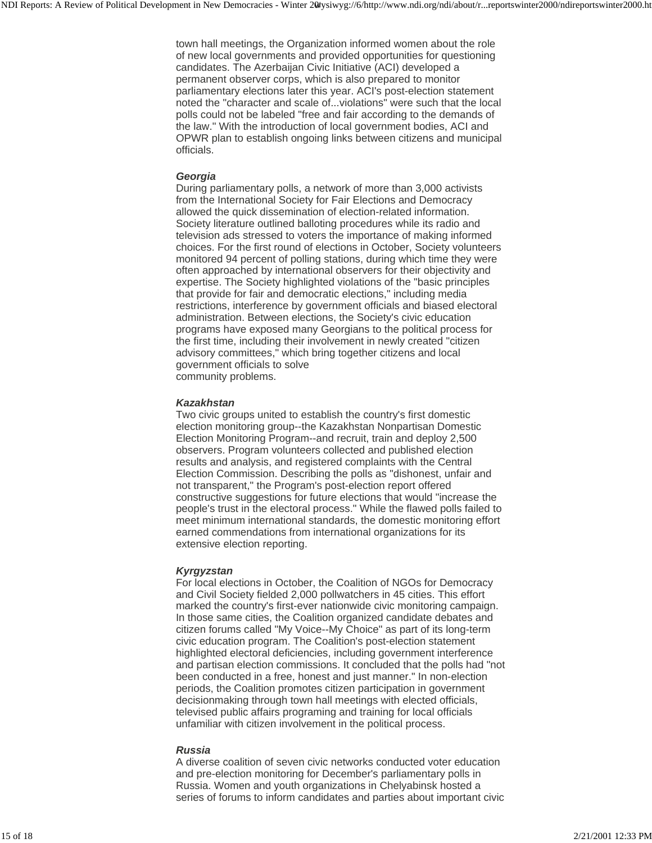permanent observer corps, which is also prepared to monitor parliamentary elections later this year. ACI's post-election statement noted the "character and scale of...violations" were such that the local polls could not be labeled "free and fair according to the demands of the law." With the introduction of local government bodies, ACI and OPWR plan to establish ongoing links between citizens and municipal officials.

## *Georgia*

During parliamentary polls, a network of more than 3,000 activists from the International Society for Fair Elections and Democracy allowed the quick dissemination of election-related information. Society literature outlined balloting procedures while its radio and television ads stressed to voters the importance of making informed choices. For the first round of elections in October, Society volunteers monitored 94 percent of polling stations, during which time they were often approached by international observers for their objectivity and expertise. The Society highlighted violations of the "basic principles that provide for fair and democratic elections," including media restrictions, interference by government officials and biased electoral administration. Between elections, the Society's civic education programs have exposed many Georgians to the political process for the first time, including their involvement in newly created "citizen advisory committees," which bring together citizens and local government officials to solve community problems.

# *Kazakhstan*

Two civic groups united to establish the country's first domestic election monitoring group--the Kazakhstan Nonpartisan Domestic Election Monitoring Program--and recruit, train and deploy 2,500 observers. Program volunteers collected and published election results and analysis, and registered complaints with the Central Election Commission. Describing the polls as "dishonest, unfair and not transparent," the Program's post-election report offered constructive suggestions for future elections that would "increase the people's trust in the electoral process." While the flawed polls failed to meet minimum international standards, the domestic monitoring effort earned commendations from international organizations for its extensive election reporting.

# *Kyrgyzstan*

For local elections in October, the Coalition of NGOs for Democracy and Civil Society fielded 2,000 pollwatchers in 45 cities. This effort marked the country's first-ever nationwide civic monitoring campaign. In those same cities, the Coalition organized candidate debates and citizen forums called "My Voice--My Choice" as part of its long-term civic education program. The Coalition's post-election statement highlighted electoral deficiencies, including government interference and partisan election commissions. It concluded that the polls had "not been conducted in a free, honest and just manner." In non-election periods, the Coalition promotes citizen participation in government decisionmaking through town hall meetings with elected officials, televised public affairs programing and training for local officials unfamiliar with citizen involvement in the political process.

### *Russia*

A diverse coalition of seven civic networks conducted voter education and pre-election monitoring for December's parliamentary polls in Russia. Women and youth organizations in Chelyabinsk hosted a series of forums to inform candidates and parties about important civic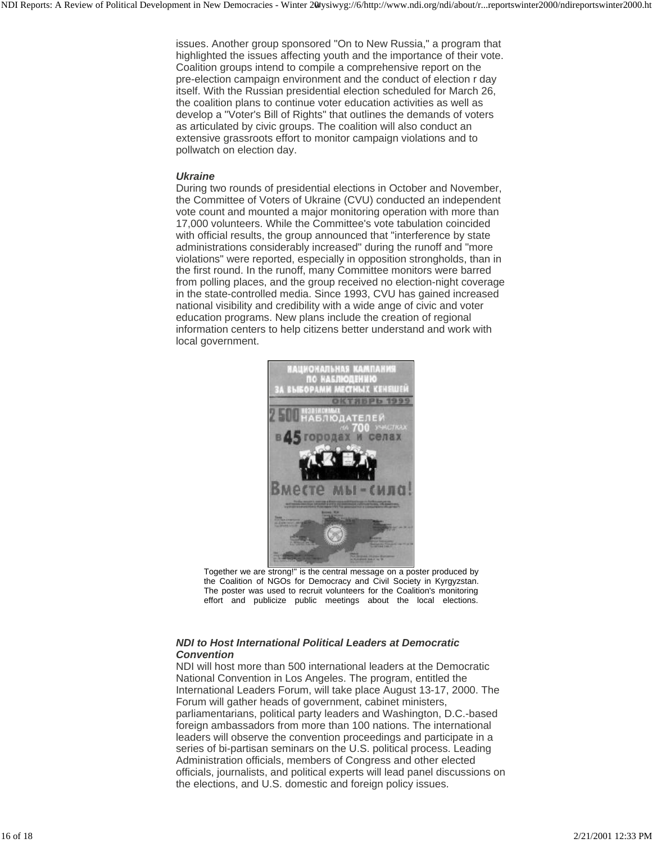pre-election campaign environment and the conduct of election r day itself. With the Russian presidential election scheduled for March 26, the coalition plans to continue voter education activities as well as develop a "Voter's Bill of Rights" that outlines the demands of voters as articulated by civic groups. The coalition will also conduct an extensive grassroots effort to monitor campaign violations and to pollwatch on election day.

### *Ukraine*

During two rounds of presidential elections in October and November, the Committee of Voters of Ukraine (CVU) conducted an independent vote count and mounted a major monitoring operation with more than 17,000 volunteers. While the Committee's vote tabulation coincided with official results, the group announced that "interference by state administrations considerably increased" during the runoff and "more violations" were reported, especially in opposition strongholds, than in the first round. In the runoff, many Committee monitors were barred from polling places, and the group received no election-night coverage in the state-controlled media. Since 1993, CVU has gained increased national visibility and credibility with a wide ange of civic and voter education programs. New plans include the creation of regional information centers to help citizens better understand and work with local government.



Together we are strong!" is the central message on a poster produced by the Coalition of NGOs for Democracy and Civil Society in Kyrgyzstan. The poster was used to recruit volunteers for the Coalition's monitoring effort and publicize public meetings about the local elections.

### *NDI to Host International Political Leaders at Democratic Convention*

NDI will host more than 500 international leaders at the Democratic National Convention in Los Angeles. The program, entitled the International Leaders Forum, will take place August 13-17, 2000. The Forum will gather heads of government, cabinet ministers, parliamentarians, political party leaders and Washington, D.C.-based foreign ambassadors from more than 100 nations. The international leaders will observe the convention proceedings and participate in a series of bi-partisan seminars on the U.S. political process. Leading Administration officials, members of Congress and other elected officials, journalists, and political experts will lead panel discussions on the elections, and U.S. domestic and foreign policy issues.